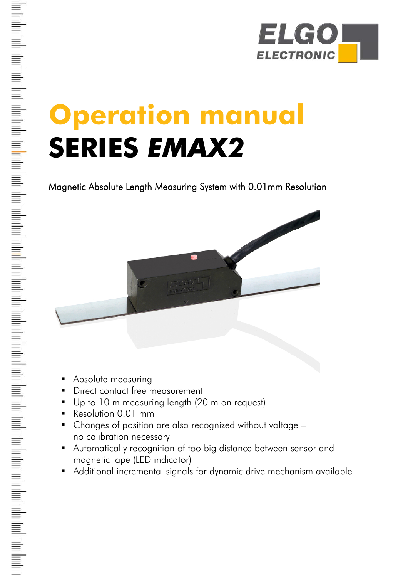

# **Operation manual SERIES** *EMAX2*

Magnetic Absolute Length Measuring System with 0.01mm Resolution



- **Absolute measuring**
- **Direct contact free measurement**
- Up to 10 m measuring length (20 m on request)
- **Resolution 0.01 mm**
- Changes of position are also recognized without voltage no calibration necessary
- Automatically recognition of too big distance between sensor and magnetic tape (LED indicator)
- Additional incremental signals for dynamic drive mechanism available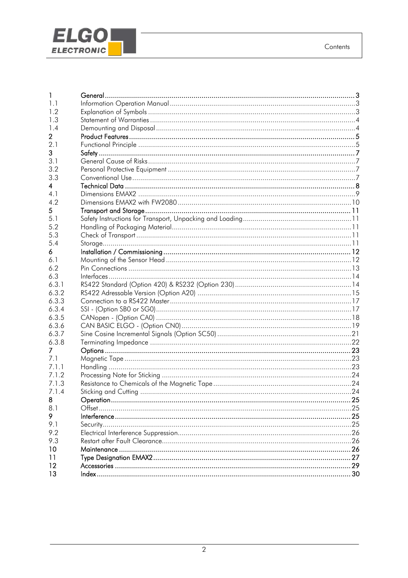

| 1              |  |
|----------------|--|
| 1.1            |  |
| 1.2            |  |
| 1.3            |  |
| 1.4            |  |
| $\overline{2}$ |  |
| 2.1            |  |
| 3              |  |
| 3.1            |  |
| 3.2            |  |
| 3.3            |  |
| 4              |  |
| 4.1            |  |
| 4.2            |  |
| 5              |  |
| 5.1            |  |
| 5.2            |  |
| 5.3            |  |
| 5.4            |  |
| 6              |  |
| 6.1            |  |
| 6.2            |  |
| 6.3            |  |
| 6.3.1          |  |
| 6.3.2          |  |
| 6.3.3          |  |
| 6.3.4          |  |
| 6.3.5          |  |
| 6.3.6          |  |
| 6.3.7          |  |
| 6.3.8          |  |
| 7              |  |
| 7.1            |  |
| 7.1.1          |  |
| 7.1.2          |  |
| 7.1.3          |  |
| 7.1.4          |  |
| 8              |  |
| 8.1            |  |
| 9              |  |
| 9.1            |  |
| 9.2            |  |
| 9.3            |  |
| 10             |  |
| 11             |  |
| 12             |  |
| 13             |  |
|                |  |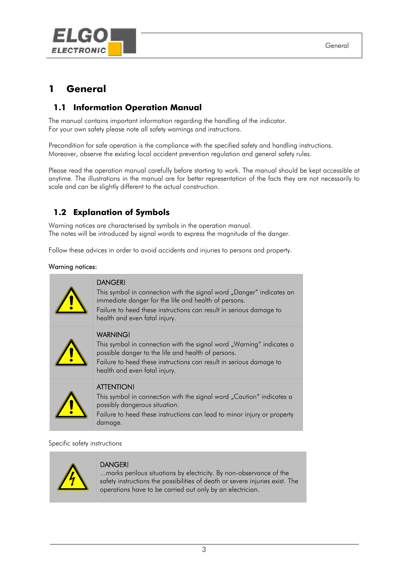<span id="page-2-0"></span>

# **1 General**

# **1.1 Information Operation Manual**

The manual contains important information regarding the handling of the indicator. For your own safety please note all safety warnings and instructions.

Precondition for safe operation is the compliance with the specified safety and handling instructions. Moreover, observe the existing local accident prevention regulation and general safety rules.

Please read the operation manual carefully before starting to work. The manual should be kept accessible at anytime. The illustrations in the manual are for better representation of the facts they are not necessarily to scale and can be slightly different to the actual construction.

# **1.2 Explanation of Symbols**

Warning notices are characterised by symbols in the operation manual. The notes will be introduced by signal words to express the magnitude of the danger.

Follow these advices in order to avoid accidents and injuries to persons and property.

#### Warning notices:





#### DANGER!

...marks perilous situations by electricity. By non-observance of the safety instructions the possibilities of death or severe injuries exist. The operations have to be carried out only by an electrician.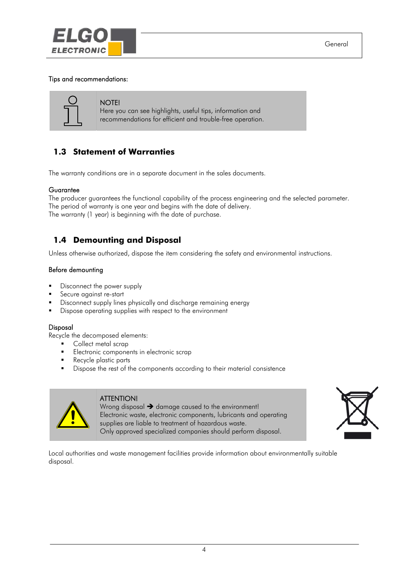<span id="page-3-0"></span>

#### Tips and recommendations:



#### NOTE!

Here you can see highlights, useful tips, information and recommendations for efficient and trouble-free operation.

## **1.3 Statement of Warranties**

The warranty conditions are in a separate document in the sales documents.

#### **Guarantee**

The producer guarantees the functional capability of the process engineering and the selected parameter. The period of warranty is one year and begins with the date of delivery. The warranty (1 year) is beginning with the date of purchase.

# **1.4 Demounting and Disposal**

Unless otherwise authorized, dispose the item considering the safety and environmental instructions.

#### Before demounting

- Disconnect the power supply
- Secure against re-start
- Disconnect supply lines physically and discharge remaining energy
- Dispose operating supplies with respect to the environment

#### Disposal

Recycle the decomposed elements:

- **Collect metal scrap**
- **Electronic components in electronic scrap**
- **Recycle plastic parts**
- Dispose the rest of the components according to their material consistence



#### ATTENTION!

Wrong disposal  $\rightarrow$  damage caused to the environment! Electronic waste, electronic components, lubricants and operating supplies are liable to treatment of hazardous waste. Only approved specialized companies should perform disposal.



Local authorities and waste management facilities provide information about environmentally suitable disposal.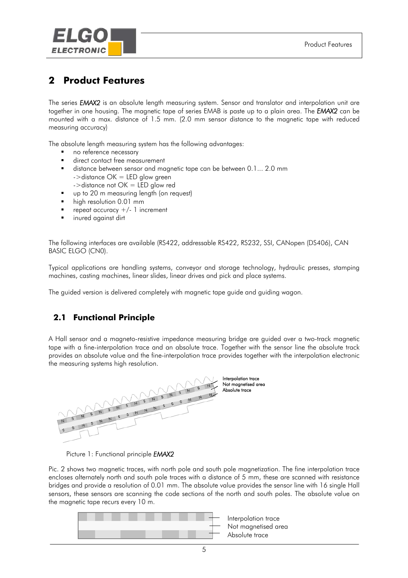<span id="page-4-0"></span>

# **2 Product Features**

The series *EMAX2* is an absolute length measuring system. Sensor and translator and interpolation unit are together in one housing. The magnetic tape of series EMAB is paste up to a plain area. The *EMAX2* can be mounted with a max. distance of 1.5 mm. (2.0 mm sensor distance to the magnetic tape with reduced measuring accuracy)

The absolute length measuring system has the following advantages:

- no reference necessary
- direct contact free measurement
- distance between sensor and magnetic tape can be between 0.1... 2.0 mm  $-$ >distance OK = LED glow green  $-$ >distance not  $OK = LED$  glow red
- up to 20 m measuring length (on request)
- high resolution 0.01 mm
- repeat accuracy  $+/- 1$  increment
- inured against dirt

The following interfaces are available (RS422, addressable RS422, RS232, SSI, CANopen (DS406), CAN BASIC ELGO (CN0).

Typical applications are handling systems, conveyor and storage technology, hydraulic presses, stamping machines, casting machines, linear slides, linear drives and pick and place systems.

The guided version is delivered completely with magnetic tape guide and guiding wagon.

## **2.1 Functional Principle**

A Hall sensor and a magneto-resistive impedance measuring bridge are guided over a two-track magnetic tape with a fine-interpolation trace and an absolute trace. Together with the sensor line the absolute track provides an absolute value and the fine-interpolation trace provides together with the interpolation electronic the measuring systems high resolution.





Pic. 2 shows two magnetic traces, with north pole and south pole magnetization. The fine interpolation trace encloses alternately north and south pole traces with a distance of 5 mm, these are scanned with resistance bridges and provide a resolution of 0.01 mm. The absolute value provides the sensor line with 16 single Hall sensors, these sensors are scanning the code sections of the north and south poles. The absolute value on the magnetic tape recurs every 10 m.

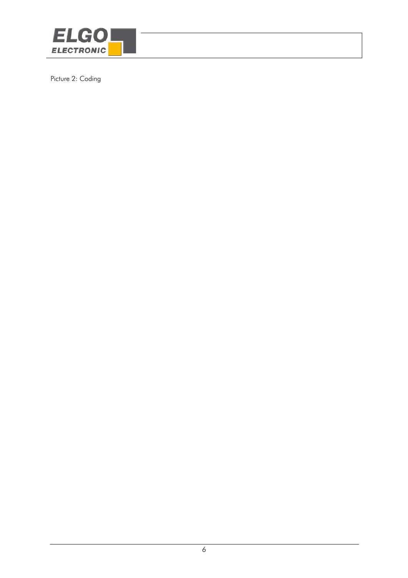

Picture 2: Coding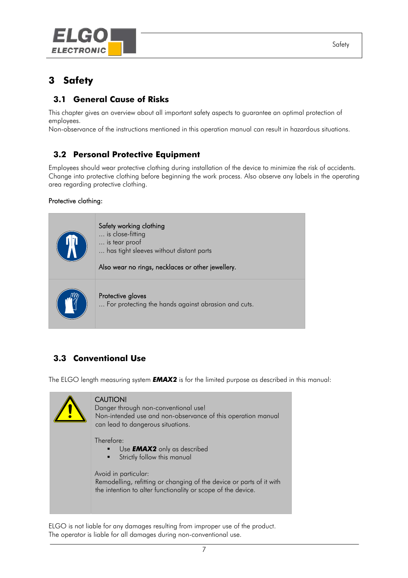<span id="page-6-0"></span>

# **3 Safety**

# **3.1 General Cause of Risks**

This chapter gives an overview about all important safety aspects to guarantee an optimal protection of employees.

Non-observance of the instructions mentioned in this operation manual can result in hazardous situations.

# **3.2 Personal Protective Equipment**

Employees should wear protective clothing during installation of the device to minimize the risk of accidents. Change into protective clothing before beginning the work process. Also observe any labels in the operating area regarding protective clothing.

#### Protective clothing:



# **3.3 Conventional Use**

The ELGO length measuring system *EMAX2* is for the limited purpose as described in this manual:



ELGO is not liable for any damages resulting from improper use of the product. The operator is liable for all damages during non-conventional use.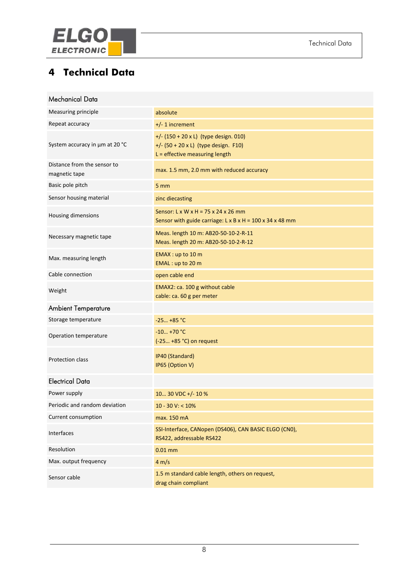<span id="page-7-0"></span>

# **4 Technical Data**

| Mechanical Data                              |                                                                                                                               |
|----------------------------------------------|-------------------------------------------------------------------------------------------------------------------------------|
| Measuring principle                          | absolute                                                                                                                      |
| Repeat accuracy                              | $+/- 1$ increment                                                                                                             |
| System accuracy in µm at 20 °C               | +/- $(150 + 20 \times L)$ (type design. 010)<br>+/- $(50 + 20 \times L)$ (type design. F10)<br>L = effective measuring length |
| Distance from the sensor to<br>magnetic tape | max. 1.5 mm, 2.0 mm with reduced accuracy                                                                                     |
| Basic pole pitch                             | 5 <sub>mm</sub>                                                                                                               |
| Sensor housing material                      | zinc diecasting                                                                                                               |
| Housing dimensions                           | Sensor: L x W x H = 75 x 24 x 26 mm<br>Sensor with guide carriage: L x B x H = $100$ x 34 x 48 mm                             |
| Necessary magnetic tape                      | Meas. length 10 m: AB20-50-10-2-R-11<br>Meas. length 20 m: AB20-50-10-2-R-12                                                  |
| Max. measuring length                        | EMAX: up to 10 m<br>EMAL: up to 20 m                                                                                          |
| Cable connection                             | open cable end                                                                                                                |
| Weight                                       | EMAX2: ca. 100 g without cable<br>cable: ca. 60 g per meter                                                                   |
| <b>Ambient Temperature</b>                   |                                                                                                                               |
| Storage temperature                          | $-25 +85 °C$                                                                                                                  |
| Operation temperature                        | $-10 + 70$ °C<br>$(-25 + 85 °C)$ on request                                                                                   |
| Protection class                             | IP40 (Standard)<br>IP65 (Option V)                                                                                            |
| <b>Electrical Data</b>                       |                                                                                                                               |
| Power supply                                 | 10 30 VDC +/- 10 %                                                                                                            |
| Periodic and random deviation                | $10 - 30$ V: < $10\%$                                                                                                         |
| Current consumption                          | max. 150 mA                                                                                                                   |
| Interfaces                                   | SSI-Interface, CANopen (DS406), CAN BASIC ELGO (CN0),<br>RS422, addressable RS422                                             |
| Resolution                                   | $0.01$ mm                                                                                                                     |
| Max. output frequency                        | 4 m/s                                                                                                                         |
| Sensor cable                                 | 1.5 m standard cable length, others on request,<br>drag chain compliant                                                       |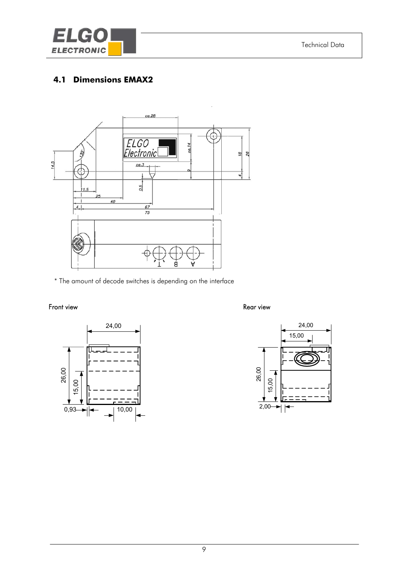<span id="page-8-0"></span>

# **4.1 Dimensions EMAX2**



\* The amount of decode switches is depending on the interface

#### Front view **Rear view** Rear view **Rear view**



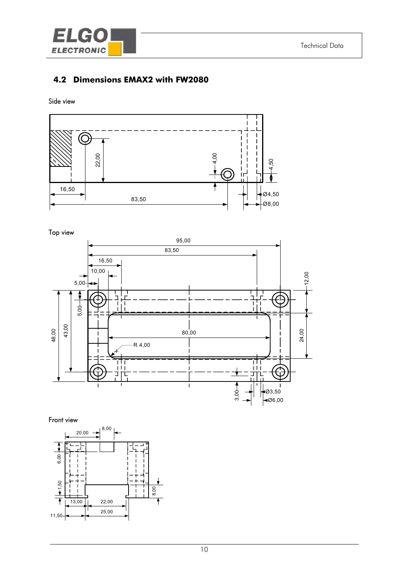<span id="page-9-0"></span>

# **4.2 Dimensions EMAX2 with FW2080**

#### Side view



#### Top view



#### Front view

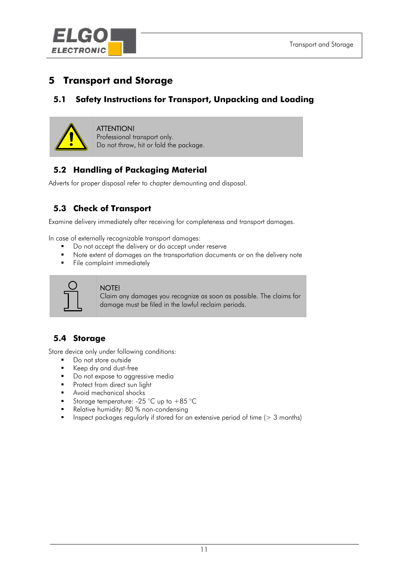<span id="page-10-0"></span>

# **5 Transport and Storage**

# **5.1 Safety Instructions for Transport, Unpacking and Loading**



#### ATTENTION!

Professional transport only. Do not throw, hit or fold the package.

# **5.2 Handling of Packaging Material**

Adverts for proper disposal refer to chapter demounting and disposal.

# **5.3 Check of Transport**

Examine delivery immediately after receiving for completeness and transport damages.

In case of externally recognizable transport damages:

- Do not accept the delivery or do accept under reserve
- Note extent of damages on the transportation documents or on the delivery note
- File complaint immediately



#### NOTE!

Claim any damages you recognize as soon as possible. The claims for damage must be filed in the lawful reclaim periods.

# **5.4 Storage**

Store device only under following conditions:

- **Do not store outside**
- Keep dry and dust-free
- Do not expose to aggressive media
- **Protect from direct sun light**
- Avoid mechanical shocks
- Storage temperature: -25 °C up to +85 °C
- Relative humidity: 80 % non-condensing
- **Inspect packages regularly if stored for an extensive period of time (** $> 3$  **months)**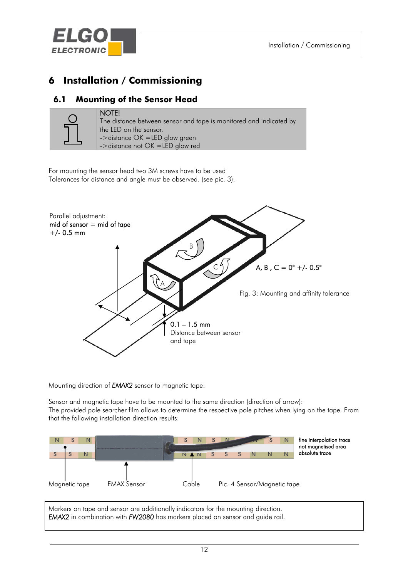<span id="page-11-0"></span>

# **6 Installation / Commissioning**

# **6.1 Mounting of the Sensor Head**



#### NOTE!

The distance between sensor and tape is monitored and indicated by the LED on the sensor. ->distance OK =LED glow green ->distance not OK =LED glow red

For mounting the sensor head two 3M screws have to be used Tolerances for distance and angle must be observed. (see pic. 3).



Mounting direction of *EMAX2* sensor to magnetic tape:

Sensor and magnetic tape have to be mounted to the same direction (direction of arrow): The provided pole searcher film allows to determine the respective pole pitches when lying on the tape. From that the following installation direction results:



Markers on tape and sensor are additionally indicators for the mounting direction. *EMAX2* in combinationwith *FW2080* has markers placed on sensor and guide rail.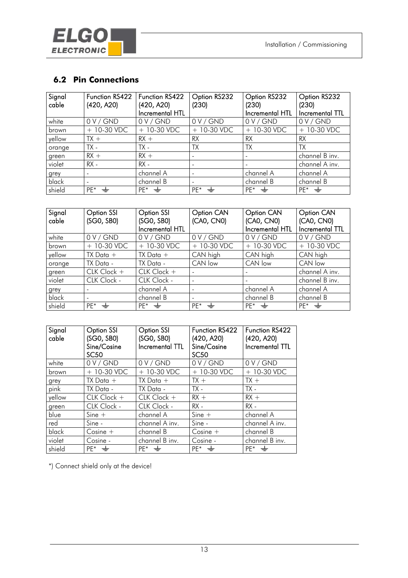<span id="page-12-0"></span>

# **6.2 Pin Connections**

| Signal<br>cable | Function RS422<br>(420, A20) | Function RS422<br>(420, A20)<br>Incremental HTL | Option RS232<br>(230) | Option RS232<br>(230)<br>Incremental HTL | Option RS232<br>(230)<br>Incremental TTL |
|-----------------|------------------------------|-------------------------------------------------|-----------------------|------------------------------------------|------------------------------------------|
| white           | 0 V/GND                      | 0 V/GND                                         | 0 V/GND               | 0 V/GND                                  | 0 V/GND                                  |
| brown           | $+ 10 - 30$ VDC              | $+ 10 - 30$ VDC                                 | $+ 10 - 30$ VDC       | $+ 10-30$ VDC                            | $+10-30$ VDC                             |
| yellow          | $TX +$                       | $RX +$                                          | <b>RX</b>             | <b>RX</b>                                | <b>RX</b>                                |
| orange          | $TX -$                       | TX -                                            | TX                    | <b>TX</b>                                | <b>TX</b>                                |
| green           | $RX +$                       | $RX +$                                          |                       |                                          | channel B inv.                           |
| violet          | $RX -$                       | $RX -$                                          |                       |                                          | channel A inv.                           |
| grey            | $\overline{\phantom{m}}$     | channel A                                       |                       | channel A                                | channel A                                |
| black           |                              | channel B                                       |                       | channel B                                | channel B                                |
| shield          | $PF^*$<br>– —                | $PE^*$ $\Rightarrow$                            | $PF^*$ $\Rightarrow$  | $PF^*$ $\Rightarrow$                     | $PF^*$ $\Rightarrow$                     |

| Signal<br>cable | Option SSI<br>(SG0, SB0) | <b>Option SSI</b><br>(SGO, SBO) | Option CAN<br>(CA0, CN0)         | <b>Option CAN</b><br>(CA0, CN0) | <b>Option CAN</b><br>(CA0, CN0) |
|-----------------|--------------------------|---------------------------------|----------------------------------|---------------------------------|---------------------------------|
|                 |                          | Incremental HTL                 |                                  | Incremental HTL                 | Incremental TTL                 |
| white           | 0 V/GND                  | 0 V / GND                       | 0 V/GND                          | 0 V/GND                         | 0 V/GND                         |
| brown           | $+ 10 - 30$ VDC          | $+ 10 - 30$ VDC                 | $+10-30$ VDC                     | $+10-30$ VDC                    | $+10-30$ VDC                    |
| yellow          | $TX$ Data $+$            | $TX$ Data $+$                   | CAN high                         | CAN high                        | CAN high                        |
| orange          | TX Data -                | TX Data -                       | CAN low                          | CAN low                         | CAN low                         |
| green           | CLK Clock +              | CLK Clock +                     |                                  |                                 | channel A inv.                  |
| violet          | CLK Clock -              | CLK Clock -                     |                                  |                                 | channel B inv.                  |
| grey            |                          | channel A                       |                                  | channel A                       | channel A                       |
| black           |                          | channel B                       |                                  | channel B                       | channel B                       |
| shield          | PE <sup>*</sup>          | $PF^*$ $\Rightarrow$            | PE <sup>*</sup><br>$\Rightarrow$ | $PE^*$ $\Rightarrow$            | $PE^*$ $\Rightarrow$            |

| Signal<br>cable | <b>Option SSI</b><br>(SGO, SBO)<br>Sine/Cosine<br><b>SC50</b> | <b>Option SSI</b><br>(SG0, SB0)<br>Incremental TTL | Function RS422<br>(420, A20)<br>Sine/Cosine<br><b>SC50</b> | Function RS422<br>(420, A20)<br>Incremental TTL |
|-----------------|---------------------------------------------------------------|----------------------------------------------------|------------------------------------------------------------|-------------------------------------------------|
| white           | 0 V/GND                                                       | 0 V/GND                                            | 0 V/GND                                                    | 0 V/GND                                         |
| brown           | $+10-30$ VDC                                                  | $+ 10 - 30$ VDC                                    | $+10-30$ VDC                                               | $+10-30$ VDC                                    |
| grey            | $TX$ Data $+$                                                 | $TX$ Data $+$                                      | $TX +$                                                     | $TX +$                                          |
| pink            | TX Data -                                                     | TX Data -                                          | $TX -$                                                     | $TX -$                                          |
| yellow          | CLK Clock +                                                   | CLK Clock +                                        | $RX +$                                                     | $RX +$                                          |
| green           | CLK Clock -                                                   | CLK Clock -                                        | $RX -$                                                     | $RX -$                                          |
| blue            | $Sine +$                                                      | channel A                                          | $Sine +$                                                   | channel A                                       |
| red             | Sine -                                                        | channel A inv.                                     | Sine -                                                     | channel A inv.                                  |
| black           | $Cosine +$                                                    | channel B                                          | $Cosine +$                                                 | channel B                                       |
| violet          | Cosine -                                                      | channel B inv.                                     | Cosine -                                                   | channel B inv.                                  |
| shield          | $PF^*$ $\rightleftharpoons$                                   | $PF^*$ $\Rightarrow$                               | $PF^*$ $\Rightarrow$                                       | $PF^*$ $\Rightarrow$                            |

\*) Connect shield only at the device!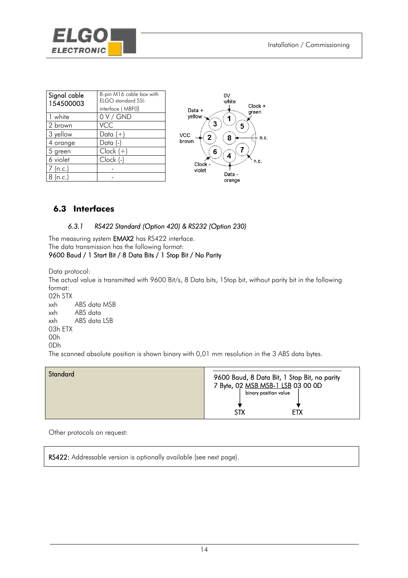<span id="page-13-0"></span>

| Signal cable<br>154500003 | 8-pin M16 cable box with<br>ELGO standard SSI-<br>interface (M8F0) |
|---------------------------|--------------------------------------------------------------------|
| 1 white                   | 0 V/GND                                                            |
| 2 brown                   | VCC                                                                |
| 3 yellow                  | Data $(+)$                                                         |
| 4 orange                  | Data (-)                                                           |
| 5 green                   | $Clock (+)$                                                        |
| 6 violet                  | Clock (-)                                                          |
| 7 (n.c.)                  |                                                                    |
| n.c.)                     |                                                                    |



## **6.3 Interfaces**

#### *6.3.1 RS422 Standard (Option 420) & RS232 (Option 230)*

The measuring system **EMAX2** has RS422 interface. The data transmission has the following format: 9600 Baud / 1 Start Bit / 8 Data Bits / 1 Stop Bit / No Parity

Data protocol:

The actual value is transmitted with 9600 Bit/s, 8 Data bits, 1Stop bit, without parity bit in the following format:

02h STX xxh ABS data MSB xxh ABS data xxh ABS data LSB 03h ETX 00h 0Dh

The scanned absolute position is shown binary with 0,01 mm resolution in the 3 ABS data bytes.

| Standard | 9600 Baud, 8 Data Bit, 1 Stop Bit, no parity<br>7 Byte, 02 MSB MSB-1 LSB 03 00 0D<br>binary position value<br><b>ETX</b><br>STX |
|----------|---------------------------------------------------------------------------------------------------------------------------------|
|----------|---------------------------------------------------------------------------------------------------------------------------------|

Other protocols on request:

Ī

RS422: Addressable version is optionally available (see next page).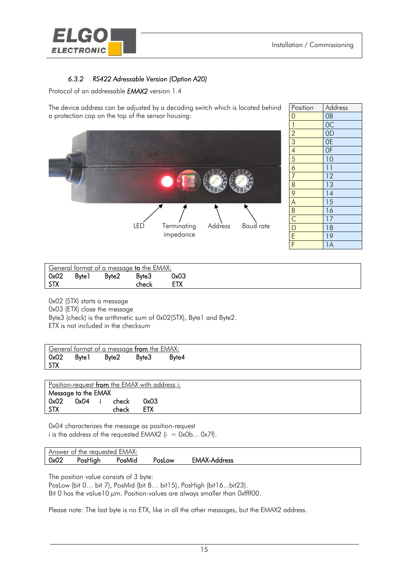<span id="page-14-0"></span>

## *6.3.2 RS422 Adressable Version (Option A20)*

Protocol of an addressable *EMAX2* version 1.4

The device address can be adjusted by a decoding switch which is located behind a protection cap on the top of the sensor housing:



| Position                                                              | Address         |
|-----------------------------------------------------------------------|-----------------|
| $\overline{O}$                                                        | OB              |
|                                                                       | $\overline{OC}$ |
| $\frac{1}{2}$ $\frac{2}{3}$ $\frac{4}{5}$ $\frac{6}{7}$ $\frac{7}{8}$ | $\overline{OD}$ |
|                                                                       | <b>OE</b>       |
|                                                                       | 0 <sub>F</sub>  |
|                                                                       | $\overline{10}$ |
|                                                                       | $\overline{11}$ |
|                                                                       | $\overline{12}$ |
|                                                                       | $\overline{1}3$ |
|                                                                       | 14              |
|                                                                       | $\overline{15}$ |
|                                                                       | $\overline{16}$ |
|                                                                       | 17              |
| $\frac{9}{A}$ $\frac{1}{B}$ $\frac{1}{C}$ $\frac{1}{D}$ $\frac{1}{E}$ | $\overline{18}$ |
|                                                                       | $\overline{19}$ |
| Ē                                                                     | $\overline{1A}$ |

| General format of a message to the EMAX: |              |                   |       |      |  |  |
|------------------------------------------|--------------|-------------------|-------|------|--|--|
| 0x02                                     | <b>Byte1</b> | Byte <sub>2</sub> | Byte3 | 0x03 |  |  |
| <b>STX</b>                               |              |                   | check |      |  |  |

0x02 (STX) starts a message 0x03 (ETX) close the message Byte3 (check) is the arithmetic sum of 0x02(STX), Byte1 and Byte2. ETX is not included in the checksum

|                    | General format of a message from the EMAX: |       |       |       |  |  |
|--------------------|--------------------------------------------|-------|-------|-------|--|--|
| 0x02<br><b>STX</b> | <b>Byte1</b>                               | Byte2 | Byte3 | Byte4 |  |  |

Position-request from the EMAX with address i: Message to the EMAX 0x02 0x04 i check 0x03 STX check ETX

0x04 characterizes the message as position-request i is the address of the requested EMAX2 ( $i = 0x0b... 0x7f$ ).

| EMAX:<br>Answer of<br>the reauested |         |        |             |              |  |
|-------------------------------------|---------|--------|-------------|--------------|--|
| 0x02                                | 'osHıah | ™osMid | -OW<br>'osL | EMAX-Address |  |

The position value consists of 3 byte:

PosLow (bit 0... bit 7), PosMid (bit 8... bit15), PosHigh (bit16...bit23).

Bit 0 has the value10  $\mu$ m. Position-values are always smaller than 0xffff00.

Please note: The last byte is no ETX, like in all the other messages, but the EMAX2 address.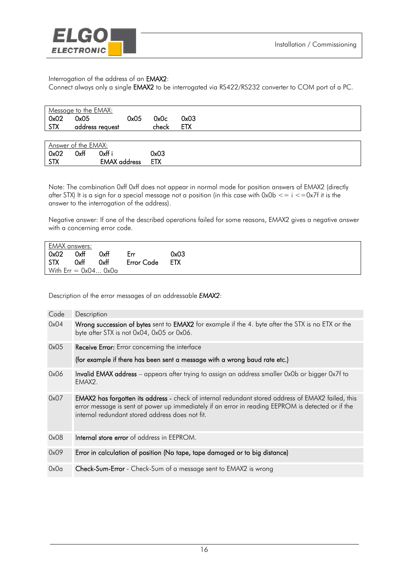

#### Interrogation of the address of an EMAX2:

Connect always only a single EMAX2 to be interrogated via RS422/RS232 converter to COM port of a PC.

|            | Message to the EMAX: |                     |            |            |  |  |
|------------|----------------------|---------------------|------------|------------|--|--|
| 0x02       | 0x05                 | 0x05                | 0x0c       | 0x03       |  |  |
| <b>STX</b> | address request      |                     | check      | <b>ETX</b> |  |  |
|            |                      |                     |            |            |  |  |
|            | Answer of the EMAX:  |                     |            |            |  |  |
| 0x02       | 0xff                 | 0xff i              | 0x03       |            |  |  |
| <b>STX</b> |                      | <b>EMAX</b> address | <b>ETX</b> |            |  |  |

Note: The combination 0xff 0xff does not appear in normal mode for position answers of EMAX2 (directly after STX) It is a sign for a special message not a position (in this case with  $0x0b \leq i \leq -0x7f$  it is the answer to the interrogation of the address).

Negative answer: If one of the described operations failed for some reasons, EMAX2 gives a negative answer with a concerning error code.

| EMAX answers: |      |                       |            |            |
|---------------|------|-----------------------|------------|------------|
| 0x02          | 0xff | 0xff                  | Err        | 0x03       |
| <b>STX</b>    | 0xff | 0xff                  | Error Code | <b>ETX</b> |
|               |      | With $Err = 0x040x0a$ |            |            |

Description of the error messages of an addressable *EMAX2*:

| Code | Description                                                                                                                                                                                                                                                       |
|------|-------------------------------------------------------------------------------------------------------------------------------------------------------------------------------------------------------------------------------------------------------------------|
| 0x04 | Wrong succession of bytes sent to EMAX2 for example if the 4. byte after the STX is no ETX or the<br>byte after STX is not 0x04, 0x05 or 0x06.                                                                                                                    |
| 0x05 | <b>Receive Error:</b> Error concerning the interface                                                                                                                                                                                                              |
|      | (for example if there has been sent a message with a wrong baud rate etc.)                                                                                                                                                                                        |
| 0x06 | <b>Invalid EMAX address</b> – appears after trying to assign an address smaller 0x0b or bigger 0x7f to<br>EMAX2.                                                                                                                                                  |
| 0x07 | <b>EMAX2 has forgotten its address</b> - check of internal redundant stored address of EMAX2 failed, this<br>error message is sent at power up immediately if an error in reading EEPROM is detected or if the<br>internal redundant stored address does not fit. |
| 0x08 | <b>Internal store error</b> of address in EEPROM.                                                                                                                                                                                                                 |
| 0x09 | Error in calculation of position (No tape, tape damaged or to big distance)                                                                                                                                                                                       |
| 0x0a | <b>Check-Sum-Error</b> - Check-Sum of a message sent to EMAX2 is wrong                                                                                                                                                                                            |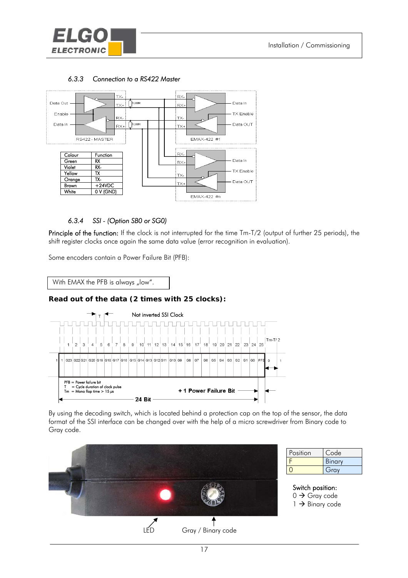<span id="page-16-0"></span>



#### *6.3.3 Connection to a RS422 Master*

#### *6.3.4 SSI - (Option SB0 or SG0)*

Principle of the function: If the clock is not interrupted for the time Tm-T/2 (output of further 25 periods), the shift register clocks once again the same data value (error recognition in evaluation).

Some encoders contain a Power Failure Bit (PFB):

With EMAX the PFB is always "low".

#### **Read out of the data (2 times with 25 clocks):**



By using the decoding switch, which is located behind a protection cap on the top of the sensor, the data format of the SSI interface can be changed over with the help of a micro screwdriver from Binary code to Gray code.



Position Code F Binary 0 Gray

 $0 \rightarrow$  Gray code  $1 \rightarrow$  Binary code

17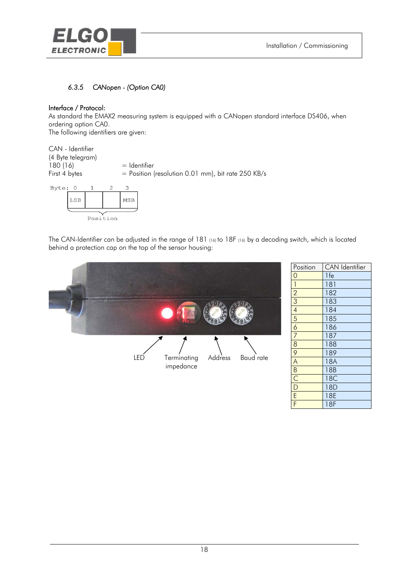<span id="page-17-0"></span>

## *6.3.5 CANopen - (Option CA0)*

#### Interface / Protocol:

As standard the EMAX2 measuring system is equipped with a CANopen standard interface DS406, when ordering option CA0.

The following identifiers are given:

| CAN - Identifier<br>(4 Byte telegram) |                                                      |
|---------------------------------------|------------------------------------------------------|
| 180 (16)                              | $=$ Identifier                                       |
| First 4 bytes                         | $=$ Position (resolution 0.01 mm), bit rate 250 KB/s |
|                                       |                                                      |



The CAN-Identifier can be adjusted in the range of 181 (16) to 18F (16) by a decoding switch, which is located behind a protection cap on the top of the sensor housing:



| Position       | <b>CAN</b> Identifier |
|----------------|-----------------------|
| 0              | 1fe                   |
| $\mathbf{1}$   | 181                   |
| $\overline{2}$ | 182                   |
| $\overline{3}$ | 183                   |
| $\overline{4}$ | 184                   |
| 5              | 185                   |
| $\overline{6}$ | 186                   |
| $\overline{7}$ | 187                   |
| $\overline{8}$ | 188                   |
| $\overline{9}$ | 189                   |
| $\overline{A}$ | <b>18A</b>            |
|                | 18B                   |
|                | 18C                   |
| $\frac{B}{D}$  | 18D                   |
| Ē              | 18E                   |
| F              | 18F                   |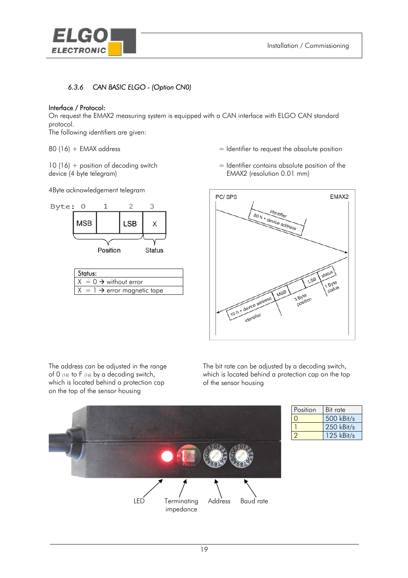<span id="page-18-0"></span>

## *6.3.6 CAN BASIC ELGO - (Option CN0)*

#### Interface / Protocol:

On request the EMAX2 measuring system is equipped with a CAN interface with ELGO CAN standard protocol.

The following identifiers are given:

device (4 byte telegram) EMAX2 (resolution 0.01 mm)

4Byte acknowledgement telegram



| Status:                                 |
|-----------------------------------------|
| $X = 0 \rightarrow$ without error       |
| $X = 1 \rightarrow$ error magnetic tape |

- $80 (16) + EMAX$  address  $=$  Identifier to request the absolute position
- $10 (16) +$  position of decoding switch  $=$  Identifier contains absolute position of the



The address can be adjusted in the range of 0 (16) to F (16) by a decoding switch, which is located behind a protection cap on the top of the sensor housing

The bit rate can be adjusted by a decoding switch, which is located behind a protection cap on the top of the sensor housing



| Position | Bit rate     |
|----------|--------------|
|          | 500 kBit/s   |
|          | $250$ kBit/s |
|          | 125 kBit/s   |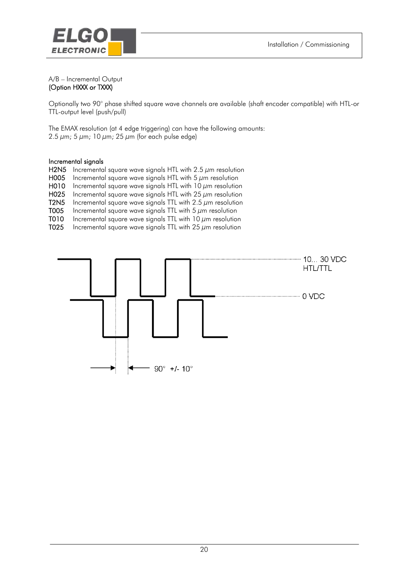

#### A/B – Incremental Output (Option HXXX or TXXX)

Optionally two 90° phase shifted square wave channels are available (shaft encoder compatible) with HTL-or TTL-output level (push/pull)

The EMAX resolution (at 4 edge triggering) can have the following amounts: 2.5  $\mu$ m; 5  $\mu$ m; 10  $\mu$ m; 25  $\mu$ m (for each pulse edge)

#### Incremental signals

| <b>H2N5</b>      | Incremental square wave signals HTL with 2.5 $\mu$ m resolution |
|------------------|-----------------------------------------------------------------|
| H <sub>005</sub> | Incremental square wave signals HTL with $5 \mu m$ resolution   |
| H010             | Incremental square wave signals HTL with 10 $\mu$ m resolution  |
| H <sub>025</sub> | Incremental square wave signals HTL with 25 $\mu$ m resolution  |
| <b>T2N5</b>      | Incremental square wave signals TTL with 2.5 $\mu$ m resolution |
| T005             | Incremental square wave signals TTL with 5 $\mu$ m resolution   |
| T010             | Incremental square wave signals TTL with 10 $\mu$ m resolution  |
| T025             | Incremental square wave signals TTL with 25 $\mu$ m resolution  |
|                  |                                                                 |
|                  |                                                                 |

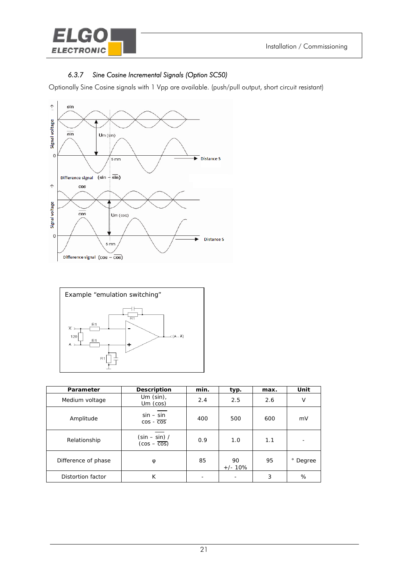<span id="page-20-0"></span>

## *6.3.7 Sine Cosine Incremental Signals (Option SC50)*

Optionally Sine Cosine signals with 1 Vpp are available. (push/pull output, short circuit resistant)





| Parameter           | Description                                   | min. | typ.            | max. | Unit   |
|---------------------|-----------------------------------------------|------|-----------------|------|--------|
| Medium voltage      | Um $(\sin)$ ,<br>Um (cos)                     | 2.4  | 2.5             | 2.6  | V      |
| Amplitude           | $sin - sin$<br>$\cos$ - $\cos$                | 400  | 500             | 600  | mV     |
| Relationship        | $(\sin - \sin) /$<br>$(cos - \overline{cos})$ | 0.9  | 1.0             | 1.1  |        |
| Difference of phase | φ                                             | 85   | 90<br>$+/- 10%$ | 95   | Degree |
| Distortion factor   | К                                             |      |                 | 3    | %      |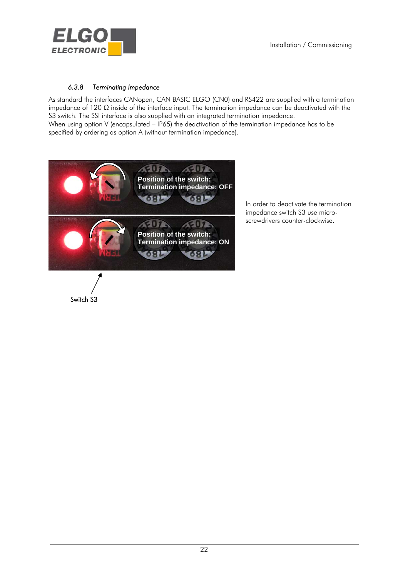<span id="page-21-0"></span>

Switch S3

#### *6.3.8 Terminating Impedance*

As standard the interfaces CANopen, CAN BASIC ELGO (CN0) and RS422 are supplied with a termination impedance of 120  $\Omega$  inside of the interface input. The termination impedance can be deactivated with the S3 switch. The SSI interface is also supplied with an integrated termination impedance. When using option V (encapsulated – IP65) the deactivation of the termination impedance has to be specified by ordering as option A (without termination impedance).

22



In order to deactivate the termination impedance switch S3 use microscrewdrivers counter-clockwise.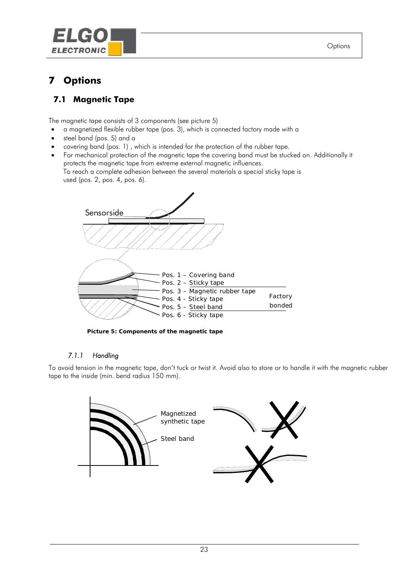<span id="page-22-0"></span>

# **7 Options**

# **7.1 Magnetic Tape**

The magnetic tape consists of 3 components (see picture 5)

- a magnetized flexible rubber tape (pos. 3), which is connected factory made with a
- steel band (pos. 5) and a
- covering band (pos. 1) , which is intended for the protection of the rubber tape.
- For mechanical protection of the magnetic tape the covering band must be stucked on. Additionally it protects the magnetic tape from extreme external magnetic influences. To reach a complete adhesion between the several materials a special sticky tape is

used (pos. 2, pos. 4, pos. 6).



**Picture 5: Components of the magnetic tape**

#### *7.1.1 Handling*

To avoid tension in the magnetic tape, don't tuck or twist it. Avoid also to store or to handle it with the magnetic rubber tape to the inside (min. bend radius 150 mm).

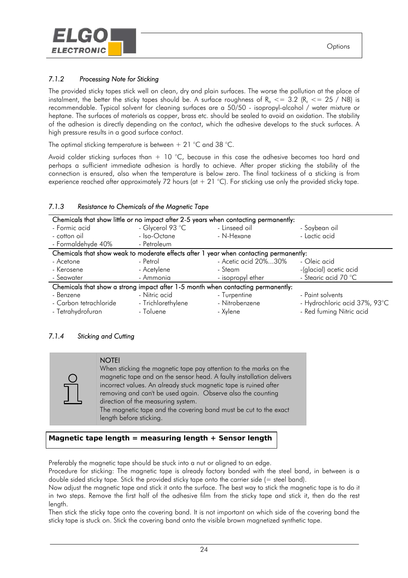<span id="page-23-0"></span>

### *7.1.2 Processing Note for Sticking*

The provided sticky tapes stick well on clean, dry and plain surfaces. The worse the pollution at the place of instalment, the better the sticky tapes should be. A surface roughness of R<sub>a</sub>  $\epsilon$  = 3.2 (R<sub>z</sub>  $\epsilon$  = 25 / N8) is recommendable. Typical solvent for cleaning surfaces are a 50/50 - isopropyl-alcohol / water mixture or heptane. The surfaces of materials as copper, brass etc. should be sealed to avoid an oxidation. The stability of the adhesion is directly depending on the contact, which the adhesive develops to the stuck surfaces. A high pressure results in a good surface contact.

The optimal sticking temperature is between  $+ 21$  °C and 38 °C.

Avoid colder sticking surfaces than  $+$  10 °C, because in this case the adhesive becomes too hard and perhaps a sufficient immediate adhesion is hardly to achieve. After proper sticking the stability of the connection is ensured, also when the temperature is below zero. The final tackiness of a sticking is from experience reached after approximately 72 hours (at + 21 °C). For sticking use only the provided sticky tape.

|                        | Chemicals that show little or no impact after 2-5 years when contacting permanently:   |                      |                               |
|------------------------|----------------------------------------------------------------------------------------|----------------------|-------------------------------|
| - Formic acid          | - Glycerol 93 °C                                                                       | - Linseed oil        | - Soybean oil                 |
| - cotton oil           | - Iso-Octane                                                                           | - N-Hexane           | - Lactic acid                 |
| - Formaldehyde 40%     | - Petroleum                                                                            |                      |                               |
|                        | Chemicals that show weak to moderate effects after 1 year when contacting permanently: |                      |                               |
| - Acetone              | - Petrol                                                                               | - Acetic acid 20%30% | - Oleic acid                  |
| - Kerosene             | - Acetylene                                                                            | - Steam              | -(glacial) acetic acid        |
| - Seawater             | - Ammonia                                                                              | - isopropyl ether    | - Stearic acid 70 °C          |
|                        | Chemicals that show a strong impact after 1-5 month when contacting permanently:       |                      |                               |
| - Benzene              | - Nitric acid                                                                          | - Turpentine         | - Paint solvents              |
| - Carbon tetrachloride | - Trichlorethylene                                                                     | - Nitrobenzene       | - Hydrochloric acid 37%, 93°C |
| - Tetrahydrofuran      | - Toluene                                                                              | - Xylene             | - Red fuming Nitric acid      |

#### *7.1.3 Resistance to Chemicals of the Magnetic Tape*

#### *7.1.4 Sticking and Cutting*



 $\overline{a}$ 

#### **NOTE!**

When sticking the magnetic tape pay attention to the marks on the magnetic tape and on the sensor head. A faulty installation delivers incorrect values. An already stuck magnetic tape is ruined after removing and can't be used again. Observe also the counting direction of the measuring system. The magnetic tape and the covering band must be cut to the exact length before sticking.

**Magnetic tape length = measuring length + Sensor length**

Preferably the magnetic tape should be stuck into a nut or aligned to an edge.

Procedure for sticking: The magnetic tape is already factory bonded with the steel band, in between is a double sided sticky tape. Stick the provided sticky tape onto the carrier side (= steel band).

Now adjust the magnetic tape and stick it onto the surface. The best way to stick the magnetic tape is to do it in two steps. Remove the first half of the adhesive film from the sticky tape and stick it, then do the rest length.

Then stick the sticky tape onto the covering band. It is not important on which side of the covering band the sticky tape is stuck on. Stick the covering band onto the visible brown magnetized synthetic tape.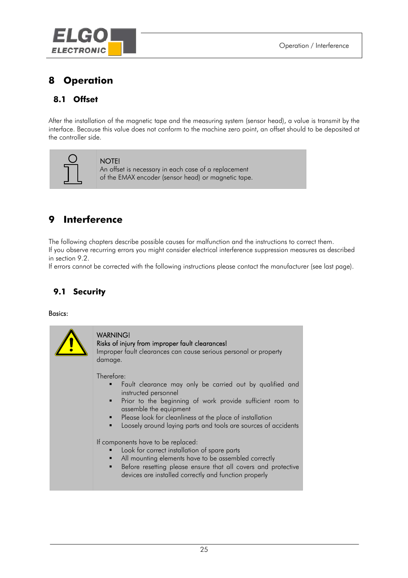<span id="page-24-0"></span>

# **8 Operation**

# **8.1 Offset**

After the installation of the magnetic tape and the measuring system (sensor head), a value is transmit by the interface. Because this value does not conform to the machine zero point, an offset should to be deposited at the controller side.



#### NOTE!

An offset is necessary in each case of a replacement of the EMAX encoder (sensor head) or magnetic tape.

# **9 Interference**

The following chapters describe possible causes for malfunction and the instructions to correct them. If you observe recurring errors you might consider electrical interference suppression measures as described in section 9.2.

If errors cannot be corrected with the following instructions please contact the manufacturer (see last page).

# **9.1 Security**

#### Basics:

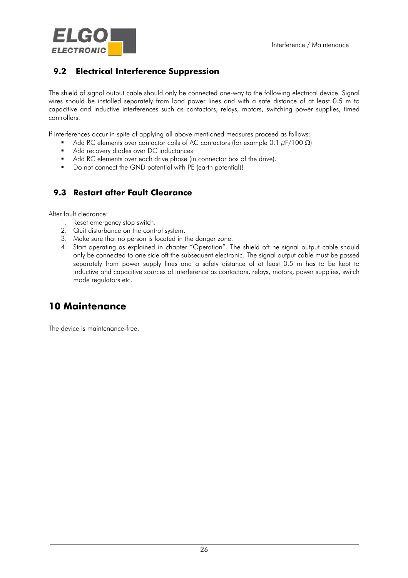<span id="page-25-0"></span>

# **9.2 Electrical Interference Suppression**

The shield of signal output cable should only be connected one-way to the following electrical device. Signal wires should be installed separately from load power lines and with a safe distance of at least 0.5 m to capacitive and inductive interferences such as contactors, relays, motors, switching power supplies, timed controllers.

If interferences occur in spite of applying all above mentioned measures proceed as follows:

- Add RC elements over contactor coils of AC contactors (for example 0.1  $\mu$ F/100  $\Omega$ )
- Add recovery diodes over DC inductances
- Add RC elements over each drive phase (in connector box of the drive).
- Do not connect the GND potential with PE (earth potential)!

# **9.3 Restart after Fault Clearance**

After fault clearance:

- 1. Reset emergency stop switch.
- 2. Quit disturbance on the control system.
- 3. Make sure that no person is located in the danger zone.
- 4. Start operating as explained in chapter "Operation". The shield oft he signal output cable should only be connected to one side oft the subsequent electronic. The signal output cable must be passed separately from power supply lines and a safety distance of at least 0.5 m has to be kept to inductive and capacitive sources of interference as contactors, relays, motors, power supplies, switch mode regulators etc.

# **10 Maintenance**

The device is maintenance-free.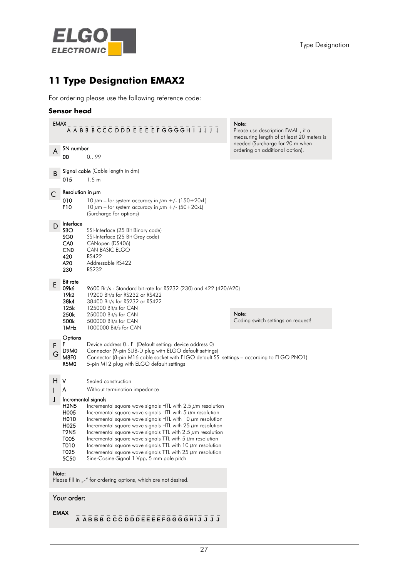<span id="page-26-0"></span>

# **11 Type Designation EMAX2**

For ordering please use the following reference code:

#### **Sensor head**

|        | <b>EMAX</b><br>A A B B B C C C D D D E E E E F G G G G H I J J J J                             |                                                                                                                                                                                                                                                                                                                                                                                                                                                                                                                                                                                                                  | Note:<br>Please use description EMAL, if a<br>measuring length of at least 20 meters is<br>needed (Surcharge for 20 m when |  |
|--------|------------------------------------------------------------------------------------------------|------------------------------------------------------------------------------------------------------------------------------------------------------------------------------------------------------------------------------------------------------------------------------------------------------------------------------------------------------------------------------------------------------------------------------------------------------------------------------------------------------------------------------------------------------------------------------------------------------------------|----------------------------------------------------------------------------------------------------------------------------|--|
| A      | SN number<br>00                                                                                | 0.99                                                                                                                                                                                                                                                                                                                                                                                                                                                                                                                                                                                                             | ordering an additional option).                                                                                            |  |
| B      | 015                                                                                            | Signal cable (Cable length in dm)<br>1.5 <sub>m</sub>                                                                                                                                                                                                                                                                                                                                                                                                                                                                                                                                                            |                                                                                                                            |  |
| C      | Resolution in $\mu$ m<br>010<br>F10                                                            | 10 $\mu$ m – for system accuracy in $\mu$ m +/- (150+20xL)<br>10 $\mu$ m – for system accuracy in $\mu$ m +/- (50+20xL)<br>(Surcharge for options)                                                                                                                                                                                                                                                                                                                                                                                                                                                               |                                                                                                                            |  |
| D      | Interface<br>SBO<br>SG <sub>0</sub><br>CA <sub>0</sub><br>CN <sub>0</sub><br>420<br>A20<br>230 | SSI-Interface (25 Bit Binary code)<br>SSI-Interface (25 Bit Gray code)<br>CANopen (DS406)<br>CAN BASIC ELGO<br>RS422<br>Addressable RS422<br><b>RS232</b>                                                                                                                                                                                                                                                                                                                                                                                                                                                        |                                                                                                                            |  |
| E      | <b>Bit rate</b><br>09k6<br>19k2<br>38k4<br>125k                                                | 9600 Bit/s - Standard bit rate for RS232 (230) and 422 (420/A20)<br>19200 Bit/s for RS232 or RS422<br>38400 Bit/s for RS232 or RS422<br>125000 Bit/s for CAN                                                                                                                                                                                                                                                                                                                                                                                                                                                     | Note:                                                                                                                      |  |
|        | 250k<br>500k<br>1 MHz                                                                          | 250000 Bit/s for CAN<br>500000 Bit/s for CAN<br>1000000 Bit/s for CAN                                                                                                                                                                                                                                                                                                                                                                                                                                                                                                                                            | Coding switch settings on request!                                                                                         |  |
| F<br>G | Options<br>F<br>D <sub>9</sub> M <sub>0</sub><br>M8F0<br>R5MO                                  | Device address 0 F (Default setting: device address 0)<br>Connector (9-pin SUB-D plug with ELGO default settings)<br>Connector (8-pin M16 cable socket with ELGO default SSI settings – according to ELGO PNO1)<br>5-pin M12 plug with ELGO default settings                                                                                                                                                                                                                                                                                                                                                     |                                                                                                                            |  |
| H.     | V<br>A                                                                                         | Sealed construction<br>Without termination impedance                                                                                                                                                                                                                                                                                                                                                                                                                                                                                                                                                             |                                                                                                                            |  |
| J      | <b>H2N5</b><br>H005<br>H010<br>H025<br><b>T2N5</b><br>T005<br>T010<br>T025<br>SC <sub>50</sub> | Incremental signals<br>Incremental square wave signals HTL with $2.5 \mu m$ resolution<br>Incremental square wave signals HTL with 5 $\mu$ m resolution<br>Incremental square wave signals HTL with 10 $\mu$ m resolution<br>Incremental square wave signals HTL with 25 $\mu$ m resolution<br>Incremental square wave signals TTL with 2.5 $\mu$ m resolution<br>Incremental square wave signals TTL with 5 $\mu$ m resolution<br>Incremental square wave signals TTL with 10 $\mu$ m resolution<br>Incremental square wave signals TTL with 25 $\mu$ m resolution<br>Sine-Cosine-Signal 1 Vpp, 5 mm pole pitch |                                                                                                                            |  |
| Note:  |                                                                                                | Please fill in "-" for ordering options, which are not desired.                                                                                                                                                                                                                                                                                                                                                                                                                                                                                                                                                  |                                                                                                                            |  |
|        | Your order:                                                                                    |                                                                                                                                                                                                                                                                                                                                                                                                                                                                                                                                                                                                                  |                                                                                                                            |  |

**EMAX** 

**EMAX \_ \_ \_ \_ \_ \_ \_ \_ \_ \_ \_ \_ \_ \_ \_ \_ \_ \_ \_ \_ \_ \_ \_ \_ \_ \_ A A B B B C C C D D D E E E E F G G G G H I J J J J**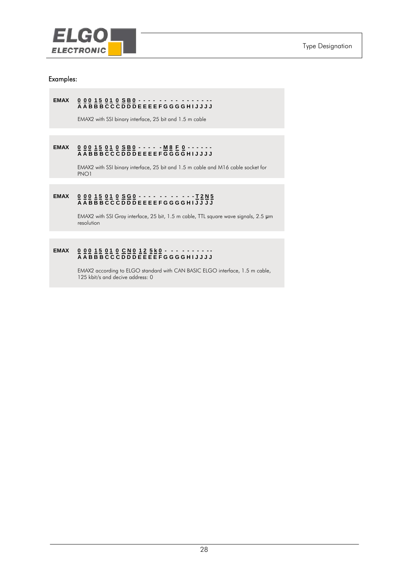

#### Examples:

#### **EMAX 0 0 0 1 5 0 1 0 S B 0 - - - - - - - - - - - - - - - A A B B B C C C D D D E E E E F G G G G H I J J J J**

EMAX2 with SSI binary interface, 25 bit and 1.5 m cable

#### **EMAX 0 0 0 1 5 0 1 0 S B 0 - - - - - M 8 F 0 - - - - - - A A B B B C C C D D D E E E E F G G G G H I J J J J**

EMAX2 with SSI binary interface, 25 bit and 1.5 m cable and M16 cable socket for PNO1

#### **EMAX 0 0 0 1 5 0 1 0 S G 0 - - - - - - - - - - - T 2 N 5 A A B B B C C C D D D E E E E F G G G G H I J J J J**

 EMAX2 with SSI Gray interface, 25 bit, 1.5 m cable, TTL square wave signals, 2.5 μm resolution

#### **EMAX 0 0 0 1 5 0 1 0 C N 0 1 2 5 k 0 - - - - - - - - - - A A B B B C C C D D D E E E E F G G G G H I J J J J**

 EMAX2 according to ELGO standard with CAN BASIC ELGO interface, 1.5 m cable, 125 kbit/s and decive address: 0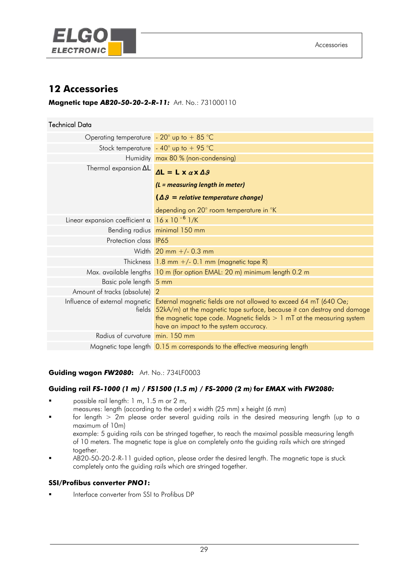<span id="page-28-0"></span>

# **12 Accessories**

#### **Magnetic tape** *AB20-50-20-2-R-11:* Art. No.: 731000110

| <b>Technical Data</b>                                           |                                                                                                                                                                                                                                                                                                          |
|-----------------------------------------------------------------|----------------------------------------------------------------------------------------------------------------------------------------------------------------------------------------------------------------------------------------------------------------------------------------------------------|
| Operating temperature $-20^\circ$ up to $+85^\circ\text{C}$     |                                                                                                                                                                                                                                                                                                          |
|                                                                 | Stock temperature $-40^{\circ}$ up to $+95^{\circ}$ C                                                                                                                                                                                                                                                    |
|                                                                 | Humidity max 80 % (non-condensing)                                                                                                                                                                                                                                                                       |
| Thermal expansion $\Delta L$                                    | $\Delta L = L \times \alpha \times \Delta \beta$                                                                                                                                                                                                                                                         |
|                                                                 | $(L = measuring length in meter)$                                                                                                                                                                                                                                                                        |
|                                                                 | $(\Delta \theta =$ relative temperature change)                                                                                                                                                                                                                                                          |
|                                                                 | depending on 20° room temperature in °K                                                                                                                                                                                                                                                                  |
| Linear expansion coefficient $\alpha$ 16 x 10 <sup>-6</sup> 1/K |                                                                                                                                                                                                                                                                                                          |
|                                                                 | Bending radius minimal 150 mm                                                                                                                                                                                                                                                                            |
| Protection class <b>IP65</b>                                    |                                                                                                                                                                                                                                                                                                          |
|                                                                 | Width $20$ mm $+/$ 0.3 mm                                                                                                                                                                                                                                                                                |
|                                                                 | Thickness $1.8$ mm $+/$ - 0.1 mm (magnetic tape R)                                                                                                                                                                                                                                                       |
|                                                                 | Max. available lengths 10 m (for option EMAL: 20 m) minimum length 0.2 m                                                                                                                                                                                                                                 |
| Basic pole length 5 mm                                          |                                                                                                                                                                                                                                                                                                          |
| Amount of tracks (absolute) 2                                   |                                                                                                                                                                                                                                                                                                          |
|                                                                 | Influence of external magnetic External magnetic fields are not allowed to exceed 64 mT (640 Oe;<br>fields 52kA/m) at the magnetic tape surface, because it can destroy and damage<br>the magnetic tape code. Magnetic fields $> 1$ mT at the measuring system<br>have an impact to the system accuracy. |
| Radius of curvature min. 150 mm                                 |                                                                                                                                                                                                                                                                                                          |
|                                                                 | Magnetic tape length 0.15 m corresponds to the effective measuring length                                                                                                                                                                                                                                |

#### **Guiding wagon** *FW2080***:** Art. No.: 734LF0003

#### **Guiding rail** *FS-1000 (1 m) / FS1500 (1.5 m) / FS-2000 (2 m)* **for** *EMAX* **with** *FW2080:*

- possible rail length: 1 m, 1.5 m or 2 m,
- measures: length (according to the order) x width (25 mm) x height (6 mm)
- for length  $> 2m$  please order several guiding rails in the desired measuring length (up to a maximum of 10m)

 example: 5 guiding rails can be stringed together, to reach the maximal possible measuring length of 10 meters. The magnetic tape is glue on completely onto the guiding rails which are stringed together.

 AB20-50-20-2-R-11 guided option, please order the desired length. The magnetic tape is stuck completely onto the guiding rails which are stringed together.

#### **SSI/Profibus converter** *PNO1***:**

Interface converter from SSI to Profibus DP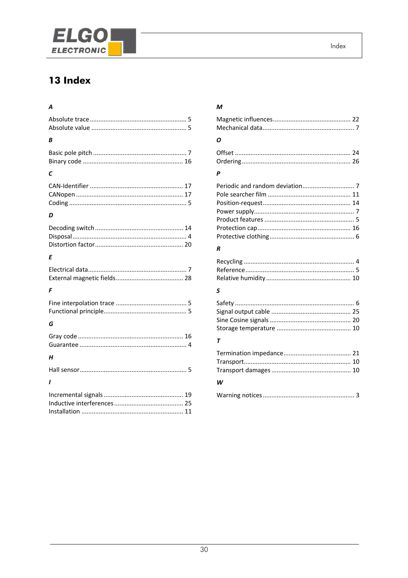<span id="page-29-0"></span>

# 13 Index

# $\mathbf{A}$

| А |
|---|
|   |
| B |
|   |
| С |
|   |
| D |
|   |
| Ε |
|   |
| F |
|   |
| G |
|   |
| Н |
|   |
| ı |
|   |

# $\boldsymbol{M}$

| Ο |  |
|---|--|
|   |  |

#### $\pmb{P}$

#### $\pmb{R}$

## $\mathsf{s}$

#### $\overline{r}$

| $\cdots$ |  |
|----------|--|

#### W

|--|